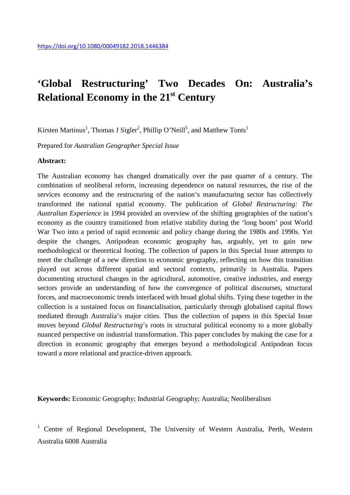# **'Global Restructuring' Two Decades On: Australia's Relational Economy in the 21st Century**

Kirsten Martinus<sup>1</sup>, Thomas J Sigler<sup>2</sup>, Phillip O'Neill<sup>3</sup>, and Matthew Tonts<sup>1</sup>

Prepared for *Australian Geographer Special Issue*

#### **Abstract:**

The Australian economy has changed dramatically over the past quarter of a century. The combination of neoliberal reform, increasing dependence on natural resources, the rise of the services economy and the restructuring of the nation's manufacturing sector has collectively transformed the national spatial economy. The publication of *Global Restructuring: The Australian Experience* in 1994 provided an overview of the shifting geographies of the nation's economy as the country transitioned from relative stability during the 'long boom' post World War Two into a period of rapid economic and policy change during the 1980s and 1990s. Yet despite the changes, Antipodean economic geography has, arguably, yet to gain new methodological or theoretical footing. The collection of papers in this Special Issue attempts to meet the challenge of a new direction to economic geography, reflecting on how this transition played out across different spatial and sectoral contexts, primarily in Australia. Papers documenting structural changes in the agricultural, automotive, creative industries, and energy sectors provide an understanding of how the convergence of political discourses, structural forces, and macroeconomic trends interfaced with broad global shifts. Tying these together in the collection is a sustained focus on financialisation, particularly through globalised capital flows mediated through Australia's major cities. Thus the collection of papers in this Special Issue moves beyond *Global Restructuring*'s roots in structural political economy to a more globally nuanced perspective on industrial transformation. This paper concludes by making the case for a direction in economic geography that emerges beyond a methodological Antipodean focus toward a more relational and practice-driven approach.

**Keywords:** Economic Geography; Industrial Geography; Australia; Neoliberalism

<sup>1</sup> Centre of Regional Development, The University of Western Australia, Perth, Western Australia 6008 Australia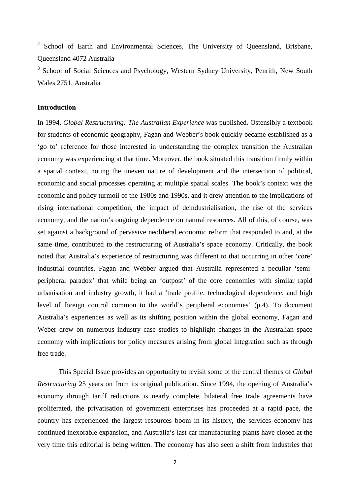<sup>2</sup> School of Earth and Environmental Sciences, The University of Queensland, Brisbane, Queensland 4072 Australia

<sup>3</sup> School of Social Sciences and Psychology, Western Sydney University, Penrith, New South Wales 2751, Australia

### **Introduction**

In 1994, *Global Restructuring: The Australian Experience* was published. Ostensibly a textbook for students of economic geography, Fagan and Webber's book quickly became established as a 'go to' reference for those interested in understanding the complex transition the Australian economy was experiencing at that time. Moreover, the book situated this transition firmly within a spatial context, noting the uneven nature of development and the intersection of political, economic and social processes operating at multiple spatial scales. The book's context was the economic and policy turmoil of the 1980s and 1990s, and it drew attention to the implications of rising international competition, the impact of deindustrialisation, the rise of the services economy, and the nation's ongoing dependence on natural resources. All of this, of course, was set against a background of pervasive neoliberal economic reform that responded to and, at the same time, contributed to the restructuring of Australia's space economy. Critically, the book noted that Australia's experience of restructuring was different to that occurring in other 'core' industrial countries. Fagan and Webber argued that Australia represented a peculiar 'semiperipheral paradox' that while being an 'outpost' of the core economies with similar rapid urbanisation and industry growth, it had a 'trade profile, technological dependence, and high level of foreign control common to the world's peripheral economies' (p.4). To document Australia's experiences as well as its shifting position within the global economy, Fagan and Weber drew on numerous industry case studies to highlight changes in the Australian space economy with implications for policy measures arising from global integration such as through free trade.

This Special Issue provides an opportunity to revisit some of the central themes of *Global Restructuring* 25 years on from its original publication. Since 1994, the opening of Australia's economy through tariff reductions is nearly complete, bilateral free trade agreements have proliferated, the privatisation of government enterprises has proceeded at a rapid pace, the country has experienced the largest resources boom in its history, the services economy has continued inexorable expansion, and Australia's last car manufacturing plants have closed at the very time this editorial is being written. The economy has also seen a shift from industries that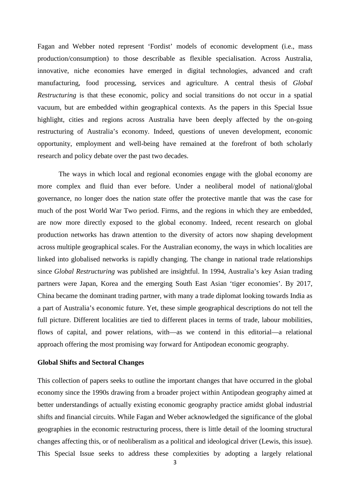Fagan and Webber noted represent 'Fordist' models of economic development (i.e., mass production/consumption) to those describable as flexible specialisation. Across Australia, innovative, niche economies have emerged in digital technologies, advanced and craft manufacturing, food processing, services and agriculture. A central thesis of *Global Restructuring* is that these economic, policy and social transitions do not occur in a spatial vacuum, but are embedded within geographical contexts. As the papers in this Special Issue highlight, cities and regions across Australia have been deeply affected by the on-going restructuring of Australia's economy. Indeed, questions of uneven development, economic opportunity, employment and well-being have remained at the forefront of both scholarly research and policy debate over the past two decades.

The ways in which local and regional economies engage with the global economy are more complex and fluid than ever before. Under a neoliberal model of national/global governance, no longer does the nation state offer the protective mantle that was the case for much of the post World War Two period. Firms, and the regions in which they are embedded, are now more directly exposed to the global economy. Indeed, recent research on global production networks has drawn attention to the diversity of actors now shaping development across multiple geographical scales. For the Australian economy, the ways in which localities are linked into globalised networks is rapidly changing. The change in national trade relationships since *Global Restructuring* was published are insightful. In 1994, Australia's key Asian trading partners were Japan, Korea and the emerging South East Asian 'tiger economies'. By 2017, China became the dominant trading partner, with many a trade diplomat looking towards India as a part of Australia's economic future. Yet, these simple geographical descriptions do not tell the full picture. Different localities are tied to different places in terms of trade, labour mobilities, flows of capital, and power relations, with—as we contend in this editorial—a relational approach offering the most promising way forward for Antipodean economic geography.

#### **Global Shifts and Sectoral Changes**

This collection of papers seeks to outline the important changes that have occurred in the global economy since the 1990s drawing from a broader project within Antipodean geography aimed at better understandings of actually existing economic geography practice amidst global industrial shifts and financial circuits. While Fagan and Weber acknowledged the significance of the global geographies in the economic restructuring process, there is little detail of the looming structural changes affecting this, or of neoliberalism as a political and ideological driver (Lewis, this issue). This Special Issue seeks to address these complexities by adopting a largely relational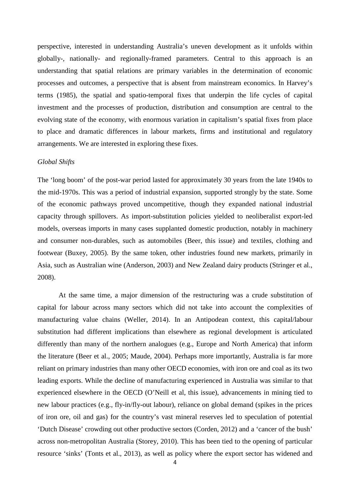perspective, interested in understanding Australia's uneven development as it unfolds within globally-, nationally- and regionally-framed parameters. Central to this approach is an understanding that spatial relations are primary variables in the determination of economic processes and outcomes, a perspective that is absent from mainstream economics. In Harvey's terms (1985), the spatial and spatio-temporal fixes that underpin the life cycles of capital investment and the processes of production, distribution and consumption are central to the evolving state of the economy, with enormous variation in capitalism's spatial fixes from place to place and dramatic differences in labour markets, firms and institutional and regulatory arrangements. We are interested in exploring these fixes.

#### *Global Shifts*

The 'long boom' of the post-war period lasted for approximately 30 years from the late 1940s to the mid-1970s. This was a period of industrial expansion, supported strongly by the state. Some of the economic pathways proved uncompetitive, though they expanded national industrial capacity through spillovers. As import-substitution policies yielded to neoliberalist export-led models, overseas imports in many cases supplanted domestic production, notably in machinery and consumer non-durables, such as automobiles (Beer, this issue) and textiles, clothing and footwear (Buxey, 2005). By the same token, other industries found new markets, primarily in Asia, such as Australian wine (Anderson, 2003) and New Zealand dairy products (Stringer et al., 2008).

At the same time, a major dimension of the restructuring was a crude substitution of capital for labour across many sectors which did not take into account the complexities of manufacturing value chains (Weller, 2014). In an Antipodean context, this capital/labour substitution had different implications than elsewhere as regional development is articulated differently than many of the northern analogues (e.g., Europe and North America) that inform the literature (Beer et al., 2005; Maude, 2004). Perhaps more importantly, Australia is far more reliant on primary industries than many other OECD economies, with iron ore and coal as its two leading exports. While the decline of manufacturing experienced in Australia was similar to that experienced elsewhere in the OECD (O'Neill et al, this issue), advancements in mining tied to new labour practices (e.g., fly-in/fly-out labour), reliance on global demand (spikes in the prices of iron ore, oil and gas) for the country's vast mineral reserves led to speculation of potential 'Dutch Disease' crowding out other productive sectors (Corden, 2012) and a 'cancer of the bush' across non-metropolitan Australia (Storey, 2010). This has been tied to the opening of particular resource 'sinks' (Tonts et al., 2013), as well as policy where the export sector has widened and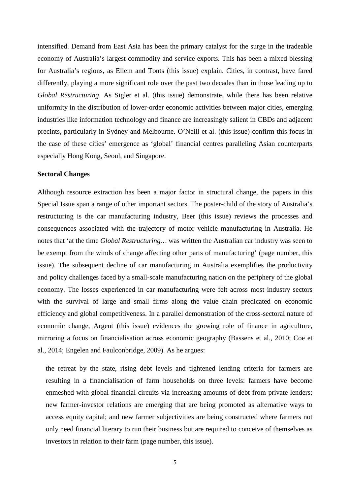intensified. Demand from East Asia has been the primary catalyst for the surge in the tradeable economy of Australia's largest commodity and service exports. This has been a mixed blessing for Australia's regions, as Ellem and Tonts (this issue) explain. Cities, in contrast, have fared differently, playing a more significant role over the past two decades than in those leading up to *Global Restructuring*. As Sigler et al. (this issue) demonstrate, while there has been relative uniformity in the distribution of lower-order economic activities between major cities, emerging industries like information technology and finance are increasingly salient in CBDs and adjacent precints, particularly in Sydney and Melbourne. O'Neill et al. (this issue) confirm this focus in the case of these cities' emergence as 'global' financial centres paralleling Asian counterparts especially Hong Kong, Seoul, and Singapore.

#### **Sectoral Changes**

Although resource extraction has been a major factor in structural change, the papers in this Special Issue span a range of other important sectors. The poster-child of the story of Australia's restructuring is the car manufacturing industry, Beer (this issue) reviews the processes and consequences associated with the trajectory of motor vehicle manufacturing in Australia. He notes that 'at the time *Global Restructuring…* was written the Australian car industry was seen to be exempt from the winds of change affecting other parts of manufacturing' (page number, this issue). The subsequent decline of car manufacturing in Australia exemplifies the productivity and policy challenges faced by a small-scale manufacturing nation on the periphery of the global economy. The losses experienced in car manufacturing were felt across most industry sectors with the survival of large and small firms along the value chain predicated on economic efficiency and global competitiveness. In a parallel demonstration of the cross-sectoral nature of economic change, Argent (this issue) evidences the growing role of finance in agriculture, mirroring a focus on financialisation across economic geography (Bassens et al., 2010; Coe et al., 2014; Engelen and Faulconbridge, 2009). As he argues:

the retreat by the state, rising debt levels and tightened lending criteria for farmers are resulting in a financialisation of farm households on three levels: farmers have become enmeshed with global financial circuits via increasing amounts of debt from private lenders; new farmer-investor relations are emerging that are being promoted as alternative ways to access equity capital; and new farmer subjectivities are being constructed where farmers not only need financial literary to run their business but are required to conceive of themselves as investors in relation to their farm (page number, this issue).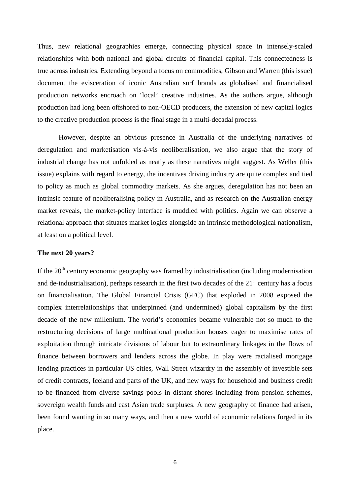Thus, new relational geographies emerge, connecting physical space in intensely-scaled relationships with both national and global circuits of financial capital. This connectedness is true across industries. Extending beyond a focus on commodities, Gibson and Warren (this issue) document the evisceration of iconic Australian surf brands as globalised and financialised production networks encroach on 'local' creative industries. As the authors argue, although production had long been offshored to non-OECD producers, the extension of new capital logics to the creative production process is the final stage in a multi-decadal process.

However, despite an obvious presence in Australia of the underlying narratives of deregulation and marketisation vis-à-vis neoliberalisation, we also argue that the story of industrial change has not unfolded as neatly as these narratives might suggest. As Weller (this issue) explains with regard to energy, the incentives driving industry are quite complex and tied to policy as much as global commodity markets. As she argues, deregulation has not been an intrinsic feature of neoliberalising policy in Australia, and as research on the Australian energy market reveals, the market-policy interface is muddled with politics. Again we can observe a relational approach that situates market logics alongside an intrinsic methodological nationalism, at least on a political level.

#### **The next 20 years?**

If the  $20<sup>th</sup>$  century economic geography was framed by industrialisation (including modernisation and de-industrialisation), perhaps research in the first two decades of the  $21<sup>st</sup>$  century has a focus on financialisation. The Global Financial Crisis (GFC) that exploded in 2008 exposed the complex interrelationships that underpinned (and undermined) global capitalism by the first decade of the new millenium. The world's economies became vulnerable not so much to the restructuring decisions of large multinational production houses eager to maximise rates of exploitation through intricate divisions of labour but to extraordinary linkages in the flows of finance between borrowers and lenders across the globe. In play were racialised mortgage lending practices in particular US cities, Wall Street wizardry in the assembly of investible sets of credit contracts, Iceland and parts of the UK, and new ways for household and business credit to be financed from diverse savings pools in distant shores including from pension schemes, sovereign wealth funds and east Asian trade surpluses. A new geography of finance had arisen, been found wanting in so many ways, and then a new world of economic relations forged in its place.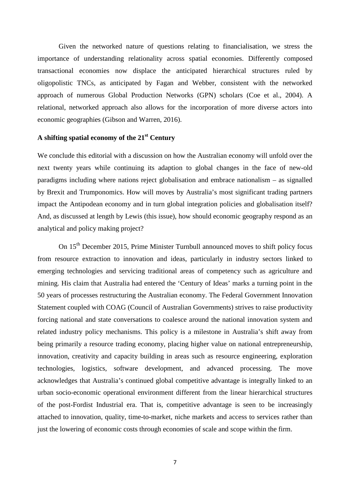Given the networked nature of questions relating to financialisation, we stress the importance of understanding relationality across spatial economies. Differently composed transactional economies now displace the anticipated hierarchical structures ruled by oligopolistic TNCs, as anticipated by Fagan and Webber, consistent with the networked approach of numerous Global Production Networks (GPN) scholars (Coe et al., 2004). A relational, networked approach also allows for the incorporation of more diverse actors into economic geographies (Gibson and Warren, 2016).

# **A shifting spatial economy of the 21st Century**

We conclude this editorial with a discussion on how the Australian economy will unfold over the next twenty years while continuing its adaption to global changes in the face of new-old paradigms including where nations reject globalisation and embrace nationalism – as signalled by Brexit and Trumponomics. How will moves by Australia's most significant trading partners impact the Antipodean economy and in turn global integration policies and globalisation itself? And, as discussed at length by Lewis (this issue), how should economic geography respond as an analytical and policy making project?

On 15th December 2015, Prime Minister Turnbull announced moves to shift policy focus from resource extraction to innovation and ideas, particularly in industry sectors linked to emerging technologies and servicing traditional areas of competency such as agriculture and mining. His claim that Australia had entered the 'Century of Ideas' marks a turning point in the 50 years of processes restructuring the Australian economy. The Federal Government Innovation Statement coupled with COAG (Council of Australian Governments) strives to raise productivity forcing national and state conversations to coalesce around the national innovation system and related industry policy mechanisms. This policy is a milestone in Australia's shift away from being primarily a resource trading economy, placing higher value on national entrepreneurship, innovation, creativity and capacity building in areas such as resource engineering, exploration technologies, logistics, software development, and advanced processing. The move acknowledges that Australia's continued global competitive advantage is integrally linked to an urban socio-economic operational environment different from the linear hierarchical structures of the post-Fordist Industrial era. That is, competitive advantage is seen to be increasingly attached to innovation, quality, time-to-market, niche markets and access to services rather than just the lowering of economic costs through economies of scale and scope within the firm.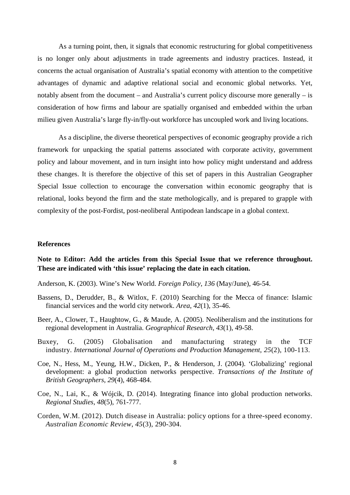As a turning point, then, it signals that economic restructuring for global competitiveness is no longer only about adjustments in trade agreements and industry practices. Instead, it concerns the actual organisation of Australia's spatial economy with attention to the competitive advantages of dynamic and adaptive relational social and economic global networks. Yet, notably absent from the document – and Australia's current policy discourse more generally – is consideration of how firms and labour are spatially organised and embedded within the urban milieu given Australia's large fly-in/fly-out workforce has uncoupled work and living locations.

As a discipline, the diverse theoretical perspectives of economic geography provide a rich framework for unpacking the spatial patterns associated with corporate activity, government policy and labour movement, and in turn insight into how policy might understand and address these changes. It is therefore the objective of this set of papers in this Australian Geographer Special Issue collection to encourage the conversation within economic geography that is relational, looks beyond the firm and the state methologically, and is prepared to grapple with complexity of the post-Fordist, post-neoliberal Antipodean landscape in a global context.

#### **References**

## **Note to Editor: Add the articles from this Special Issue that we reference throughout. These are indicated with 'this issue' replacing the date in each citation.**

Anderson, K. (2003). Wine's New World. *Foreign Policy*, *136* (May/June), 46-54.

- Bassens, D., Derudder, B., & Witlox, F. (2010) Searching for the Mecca of finance: Islamic financial services and the world city network. *Area*, *42*(1), 35-46.
- Beer, A., Clower, T., Haughtow, G., & Maude, A. (2005). Neoliberalism and the institutions for regional development in Australia. *Geographical Research*, *43*(1), 49-58.
- Buxey, G. (2005) Globalisation and manufacturing strategy in the TCF industry. *International Journal of Operations and Production Management*, *25*(2), 100-113.
- Coe, N., Hess, M., Yeung, H.W., Dicken, P., & Henderson, J. (2004). 'Globalizing' regional development: a global production networks perspective. *Transactions of the Institute of British Geographers*, *29*(4), 468-484.
- Coe, N., Lai, K., & Wójcik, D. (2014). Integrating finance into global production networks. *Regional Studies*, *48*(5), 761-777.
- Corden, W.M. (2012). Dutch disease in Australia: policy options for a three-speed economy. *Australian Economic Review*, *45*(3), 290-304.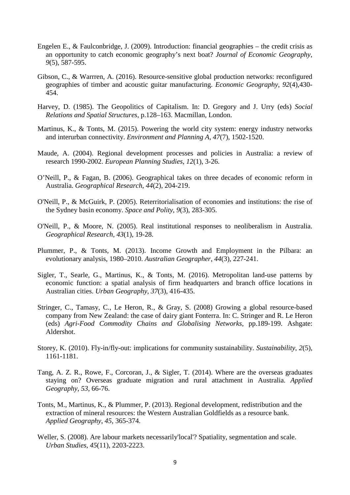- Engelen E., & Faulconbridge, J. (2009). Introduction: financial geographies the credit crisis as an opportunity to catch economic geography's next boat? *Journal of Economic Geography*, *9*(5), 587-595.
- Gibson, C., & Warrren, A. (2016). Resource-sensitive global production networks: reconfigured geographies of timber and acoustic guitar manufacturing. *Economic Geography*, *92*(4),430- 454.
- Harvey, D. (1985). The Geopolitics of Capitalism. In: D. Gregory and J. Urry (eds) *Social Relations and Spatial Structures*, p.128–163. Macmillan, London.
- Martinus, K., & Tonts, M. (2015). Powering the world city system: energy industry networks and interurban connectivity. *Environment and Planning A*, *47*(7), 1502-1520.
- Maude, A. (2004). Regional development processes and policies in Australia: a review of research 1990-2002. *European Planning Studies*, *12*(1), 3-26.
- O'Neill, P., & Fagan, B. (2006). Geographical takes on three decades of economic reform in Australia. *Geographical Research*, *44*(2), 204-219.
- O'Neill, P., & McGuirk, P. (2005). Reterritorialisation of economies and institutions: the rise of the Sydney basin economy. *Space and Polity*, *9*(3), 283-305.
- O'Neill, P., & Moore, N. (2005). Real institutional responses to neoliberalism in Australia. *Geographical Research*, *43*(1), 19-28.
- Plummer, P., & Tonts, M. (2013). Income Growth and Employment in the Pilbara: an evolutionary analysis, 1980–2010. *Australian Geographer*, *44*(3), 227-241.
- Sigler, T., Searle, G., Martinus, K., & Tonts, M. (2016). Metropolitan land-use patterns by economic function: a spatial analysis of firm headquarters and branch office locations in Australian cities. *Urban Geography*, *37*(3), 416-435.
- Stringer, C., Tamasy, C., Le Heron, R., & Gray, S. (2008) Growing a global resource-based company from New Zealand: the case of dairy giant Fonterra. In: C. Stringer and R. Le Heron (eds) *Agri-Food Commodity Chains and Globalising Networks*, pp.189-199. Ashgate: Aldershot.
- Storey, K. (2010). Fly-in/fly-out: implications for community sustainability. *Sustainability*, *2*(5), 1161-1181.
- Tang, A. Z. R., Rowe, F., Corcoran, J., & Sigler, T. (2014). Where are the overseas graduates staying on? Overseas graduate migration and rural attachment in Australia. *Applied Geography*, *53*, 66-76.
- Tonts, M., Martinus, K., & Plummer, P. (2013). Regional development, redistribution and the extraction of mineral resources: the Western Australian Goldfields as a resource bank. *Applied Geography*, *45*, 365-374.
- Weller, S. (2008). Are labour markets necessarily'local'? Spatiality, segmentation and scale. *Urban Studies*, *45*(11), 2203-2223.